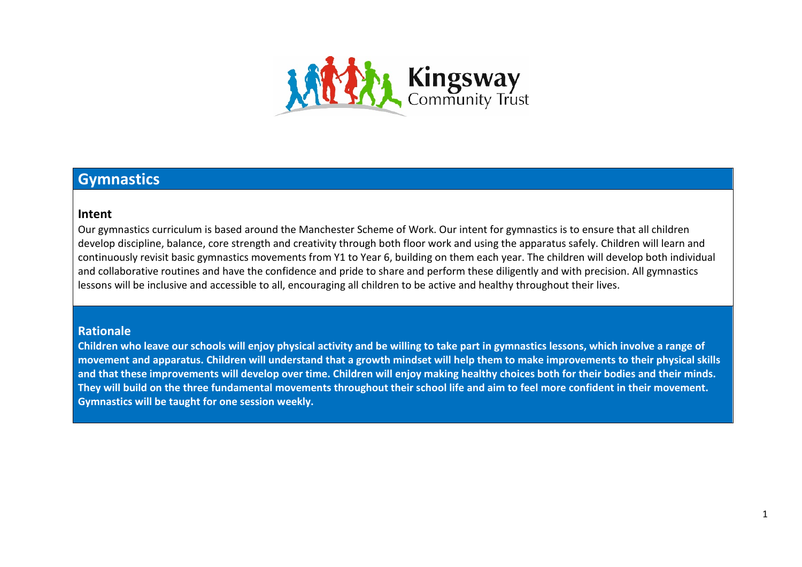

## **Gymnastics**

## **Intent**

Our gymnastics curriculum is based around the Manchester Scheme of Work. Our intent for gymnastics is to ensure that all children develop discipline, balance, core strength and creativity through both floor work and using the apparatus safely. Children will learn and continuously revisit basic gymnastics movements from Y1 to Year 6, building on them each year. The children will develop both individual and collaborative routines and have the confidence and pride to share and perform these diligently and with precision. All gymnastics lessons will be inclusive and accessible to all, encouraging all children to be active and healthy throughout their lives.

## **Rationale**

**Children who leave our schools will enjoy physical activity and be willing to take part in gymnastics lessons, which involve a range of movement and apparatus. Children will understand that a growth mindset will help them to make improvements to their physical skills and that these improvements will develop over time. Children will enjoy making healthy choices both for their bodies and their minds. They will build on the three fundamental movements throughout their school life and aim to feel more confident in their movement. Gymnastics will be taught for one session weekly.**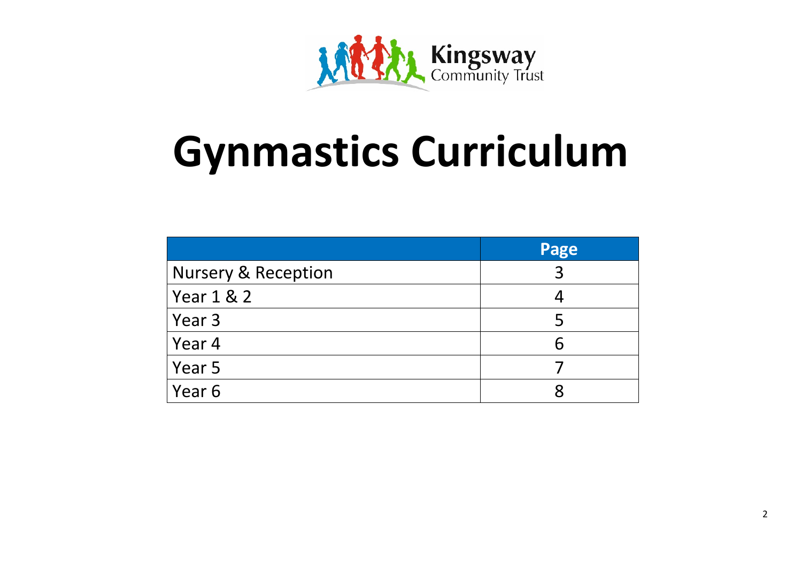

## **Gynmastics Curriculum**

|                                | Page |
|--------------------------------|------|
| <b>Nursery &amp; Reception</b> | 3    |
| Year 1 & 2                     |      |
| Year 3                         | 5    |
| Year 4                         | 6    |
| Year 5                         |      |
| Year 6                         |      |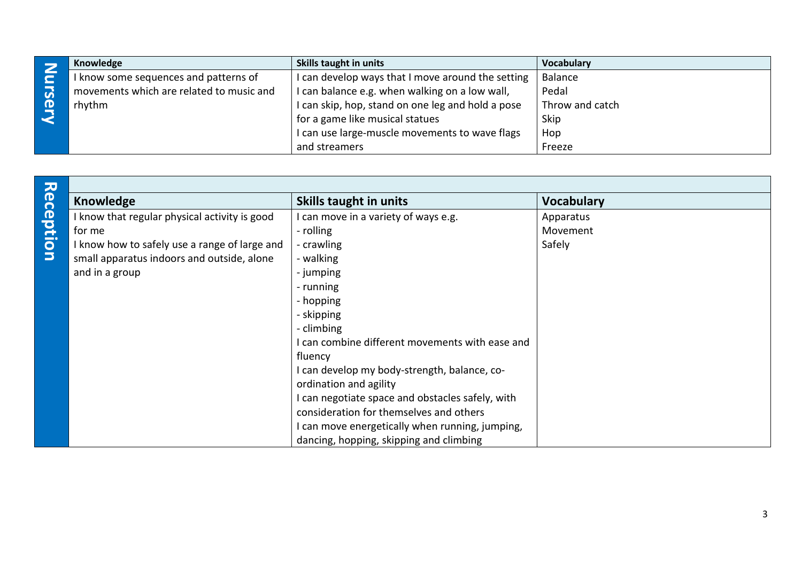|    | Knowledge                                | Skills taught in units                            | Vocabulary      |
|----|------------------------------------------|---------------------------------------------------|-----------------|
|    | I know some sequences and patterns of    | I can develop ways that I move around the setting | Balance         |
| UÑ | movements which are related to music and | I can balance e.g. when walking on a low wall,    | Pedal           |
| Œ  | rhythm                                   | I can skip, hop, stand on one leg and hold a pose | Throw and catch |
|    |                                          | for a game like musical statues                   | Skip            |
|    |                                          | I can use large-muscle movements to wave flags    | Hop             |
|    |                                          | and streamers                                     | Freeze          |

| Reception | <b>Knowledge</b>                              | <b>Skills taught in units</b>                    | <b>Vocabulary</b> |
|-----------|-----------------------------------------------|--------------------------------------------------|-------------------|
|           | I know that regular physical activity is good | I can move in a variety of ways e.g.             | Apparatus         |
|           | for me                                        | - rolling                                        | Movement          |
|           | I know how to safely use a range of large and | - crawling                                       | Safely            |
|           | small apparatus indoors and outside, alone    | - walking                                        |                   |
|           | and in a group                                | - jumping                                        |                   |
|           |                                               | - running                                        |                   |
|           |                                               | - hopping                                        |                   |
|           |                                               | - skipping                                       |                   |
|           |                                               | - climbing                                       |                   |
|           |                                               | I can combine different movements with ease and  |                   |
|           |                                               | fluency                                          |                   |
|           |                                               | I can develop my body-strength, balance, co-     |                   |
|           |                                               | ordination and agility                           |                   |
|           |                                               | I can negotiate space and obstacles safely, with |                   |
|           |                                               | consideration for themselves and others          |                   |
|           |                                               | I can move energetically when running, jumping,  |                   |
|           |                                               | dancing, hopping, skipping and climbing          |                   |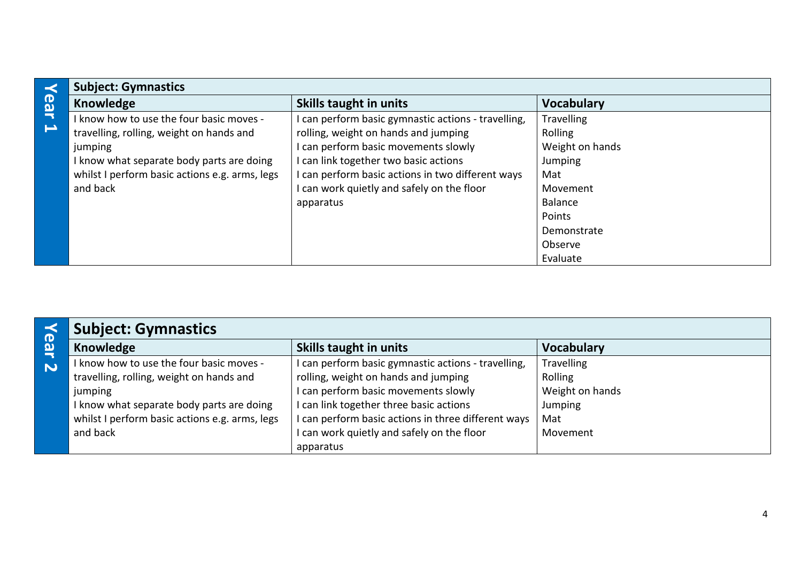| K                        | <b>Subject: Gymnastics</b>                     |                                                   |                   |
|--------------------------|------------------------------------------------|---------------------------------------------------|-------------------|
| <b>ear</b>               | <b>Knowledge</b>                               | Skills taught in units                            | <b>Vocabulary</b> |
|                          | I know how to use the four basic moves -       | can perform basic gymnastic actions - travelling, | <b>Travelling</b> |
| $\overline{\phantom{a}}$ | travelling, rolling, weight on hands and       | rolling, weight on hands and jumping              | Rolling           |
|                          | jumping                                        | can perform basic movements slowly                | Weight on hands   |
|                          | I know what separate body parts are doing      | can link together two basic actions               | Jumping           |
|                          | whilst I perform basic actions e.g. arms, legs | can perform basic actions in two different ways   | Mat               |
|                          | and back                                       | can work quietly and safely on the floor          | Movement          |
|                          |                                                | apparatus                                         | <b>Balance</b>    |
|                          |                                                |                                                   | Points            |
|                          |                                                |                                                   | Demonstrate       |
|                          |                                                |                                                   | Observe           |
|                          |                                                |                                                   | Evaluate          |

| $\boldsymbol{\sigma}$   | <b>Subject: Gymnastics</b>                     |                                                   |                   |
|-------------------------|------------------------------------------------|---------------------------------------------------|-------------------|
| $\boldsymbol{\omega}$   | Knowledge                                      | <b>Skills taught in units</b>                     | <b>Vocabulary</b> |
| $\overline{\mathbf{v}}$ | know how to use the four basic moves -         | can perform basic gymnastic actions - travelling, | <b>Travelling</b> |
|                         | travelling, rolling, weight on hands and       | rolling, weight on hands and jumping              | Rolling           |
|                         | jumping                                        | can perform basic movements slowly                | Weight on hands   |
|                         | know what separate body parts are doing        | can link together three basic actions             | Jumping           |
|                         | whilst I perform basic actions e.g. arms, legs | can perform basic actions in three different ways | Mat               |
|                         | and back                                       | can work quietly and safely on the floor          | Movement          |
|                         |                                                | apparatus                                         |                   |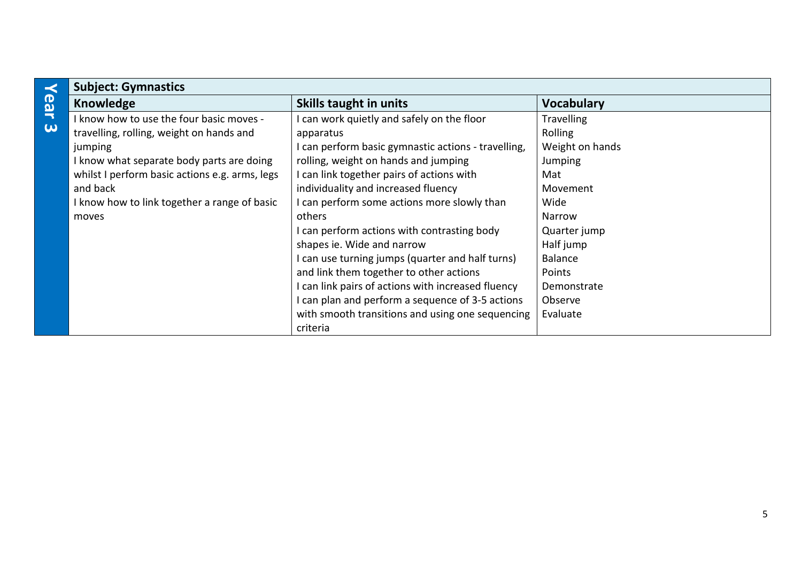|                     | <b>Subject: Gymnastics</b>                     |                                                     |                   |
|---------------------|------------------------------------------------|-----------------------------------------------------|-------------------|
| Year                | <b>Knowledge</b>                               | <b>Skills taught in units</b>                       | <b>Vocabulary</b> |
|                     | I know how to use the four basic moves -       | can work quietly and safely on the floor            | <b>Travelling</b> |
| $\overline{\omega}$ | travelling, rolling, weight on hands and       | apparatus                                           | Rolling           |
|                     | jumping                                        | I can perform basic gymnastic actions - travelling, | Weight on hands   |
|                     | I know what separate body parts are doing      | rolling, weight on hands and jumping                | <b>Jumping</b>    |
|                     | whilst I perform basic actions e.g. arms, legs | I can link together pairs of actions with           | Mat               |
|                     | and back                                       | individuality and increased fluency                 | Movement          |
|                     | I know how to link together a range of basic   | I can perform some actions more slowly than         | Wide              |
|                     | moves                                          | others                                              | Narrow            |
|                     |                                                | I can perform actions with contrasting body         | Quarter jump      |
|                     |                                                | shapes ie. Wide and narrow                          | Half jump         |
|                     |                                                | I can use turning jumps (quarter and half turns)    | Balance           |
|                     |                                                | and link them together to other actions             | Points            |
|                     |                                                | I can link pairs of actions with increased fluency  | Demonstrate       |
|                     |                                                | I can plan and perform a sequence of 3-5 actions    | Observe           |
|                     |                                                | with smooth transitions and using one sequencing    | Evaluate          |
|                     |                                                | criteria                                            |                   |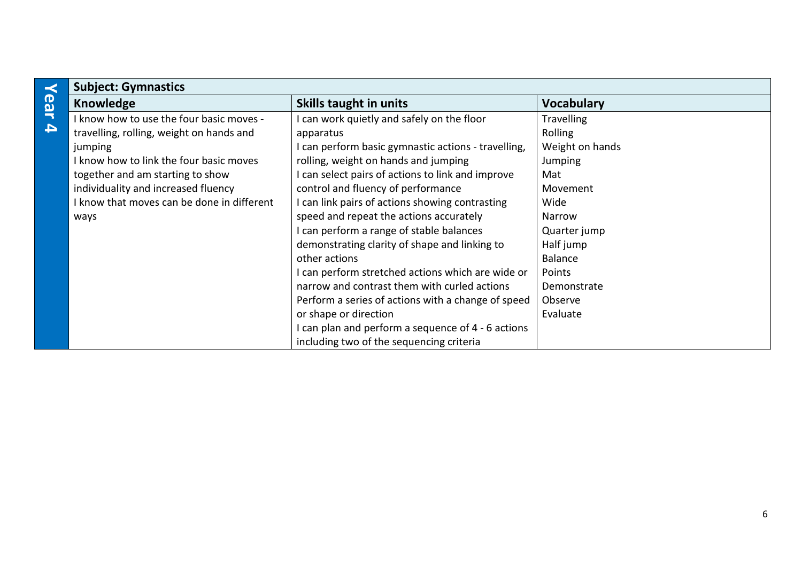|                  | <b>Subject: Gymnastics</b>                 |                                                    |                   |
|------------------|--------------------------------------------|----------------------------------------------------|-------------------|
| ear              | Knowledge                                  | <b>Skills taught in units</b>                      | <b>Vocabulary</b> |
|                  | I know how to use the four basic moves -   | can work quietly and safely on the floor           | <b>Travelling</b> |
| $\blacktriangle$ | travelling, rolling, weight on hands and   | apparatus                                          | Rolling           |
|                  | jumping                                    | can perform basic gymnastic actions - travelling,  | Weight on hands   |
|                  | I know how to link the four basic moves    | rolling, weight on hands and jumping               | Jumping           |
|                  | together and am starting to show           | can select pairs of actions to link and improve    | Mat               |
|                  | individuality and increased fluency        | control and fluency of performance                 | Movement          |
|                  | I know that moves can be done in different | can link pairs of actions showing contrasting      | Wide              |
|                  | ways                                       | speed and repeat the actions accurately            | Narrow            |
|                  |                                            | can perform a range of stable balances             | Quarter jump      |
|                  |                                            | demonstrating clarity of shape and linking to      | Half jump         |
|                  |                                            | other actions                                      | Balance           |
|                  |                                            | can perform stretched actions which are wide or    | Points            |
|                  |                                            | narrow and contrast them with curled actions       | Demonstrate       |
|                  |                                            | Perform a series of actions with a change of speed | Observe           |
|                  |                                            | or shape or direction                              | Evaluate          |
|                  |                                            | can plan and perform a sequence of 4 - 6 actions   |                   |
|                  |                                            | including two of the sequencing criteria           |                   |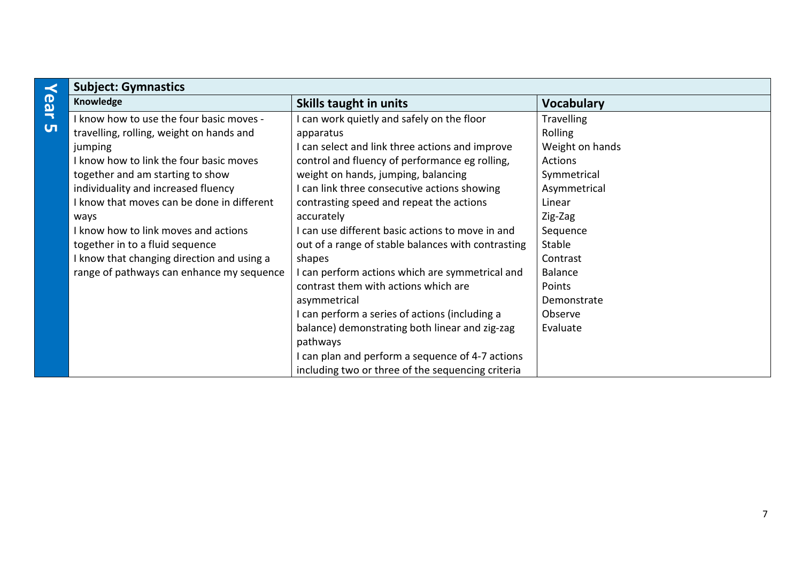| <b>Subject: Gymnastics</b>                 |                                                    |                   |
|--------------------------------------------|----------------------------------------------------|-------------------|
| Knowledge                                  | <b>Skills taught in units</b>                      | <b>Vocabulary</b> |
| I know how to use the four basic moves -   | can work quietly and safely on the floor           | <b>Travelling</b> |
| travelling, rolling, weight on hands and   | apparatus                                          | Rolling           |
| jumping                                    | I can select and link three actions and improve    | Weight on hands   |
| I know how to link the four basic moves    | control and fluency of performance eg rolling,     | Actions           |
| together and am starting to show           | weight on hands, jumping, balancing                | Symmetrical       |
| individuality and increased fluency        | I can link three consecutive actions showing       | Asymmetrical      |
| I know that moves can be done in different | contrasting speed and repeat the actions           | Linear            |
| ways                                       | accurately                                         | Zig-Zag           |
| I know how to link moves and actions       | I can use different basic actions to move in and   | Sequence          |
| together in to a fluid sequence            | out of a range of stable balances with contrasting | Stable            |
| I know that changing direction and using a | shapes                                             | Contrast          |
| range of pathways can enhance my sequence  | I can perform actions which are symmetrical and    | <b>Balance</b>    |
|                                            | contrast them with actions which are               | Points            |
|                                            | asymmetrical                                       | Demonstrate       |
|                                            | I can perform a series of actions (including a     | Observe           |
|                                            | balance) demonstrating both linear and zig-zag     | Evaluate          |
|                                            | pathways                                           |                   |
|                                            | I can plan and perform a sequence of 4-7 actions   |                   |
|                                            | including two or three of the sequencing criteria  |                   |